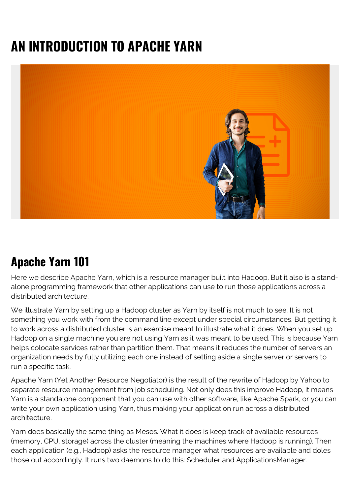# **AN INTRODUCTION TO APACHE YARN**



### **Apache Yarn 101**

Here we describe Apache Yarn, which is a resource manager built into Hadoop. But it also is a standalone programming framework that other applications can use to run those applications across a distributed architecture.

We illustrate Yarn by setting up a Hadoop cluster as Yarn by itself is not much to see. It is not something you work with from the command line except under special circumstances. But getting it to work across a distributed cluster is an exercise meant to illustrate what it does. When you set up Hadoop on a single machine you are not using Yarn as it was meant to be used. This is because Yarn helps colocate services rather than partition them. That means it reduces the number of servers an organization needs by fully utilizing each one instead of setting aside a single server or servers to run a specific task.

Apache Yarn (Yet Another Resource Negotiator) is the result of the rewrite of Hadoop by Yahoo to separate resource management from job scheduling. Not only does this improve Hadoop, it means Yarn is a standalone component that you can use with other software, like Apache Spark, or you can write your own application using Yarn, thus making your application run across a distributed architecture.

Yarn does basically the same thing as Mesos. What it does is keep track of available resources (memory, CPU, storage) across the cluster (meaning the machines where Hadoop is running). Then each application (e.g., Hadoop) asks the resource manager what resources are available and doles those out accordingly. It runs two daemons to do this: Scheduler and ApplicationsManager.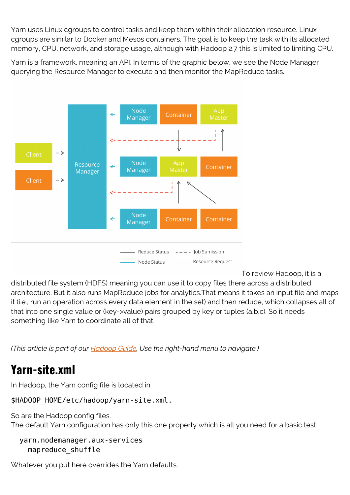Yarn uses Linux cgroups to control tasks and keep them within their allocation resource. Linux cgroups are similar to Docker and Mesos containers. The goal is to keep the task with its allocated memory, CPU, network, and storage usage, although with Hadoop 2.7 this is limited to limiting CPU.

Yarn is a framework, meaning an API. In terms of the graphic below, we see the Node Manager querying the Resource Manager to execute and then monitor the MapReduce tasks.



To review Hadoop, it is a

distributed file system (HDFS) meaning you can use it to copy files there across a distributed architecture. But it also runs MapReduce jobs for analytics.That means it takes an input file and maps it (i.e., run an operation across every data element in the set) and then reduce, which collapses all of that into one single value or (key->value) pairs grouped by key or tuples (a,b,c). So it needs something like Yarn to coordinate all of that.

*(This article is part of our [Hadoop Guide](https://blogs.bmc.com/blogs/hadoop-introduction/). Use the right-hand menu to navigate.)*

### **Yarn-site.xml**

In Hadoop, the Yarn config file is located in

\$HADOOP\_HOME/etc/hadoop/yarn-site.xml.

So are the Hadoop config files. The default Yarn configuration has only this one property which is all you need for a basic test.

```
 yarn.nodemanager.aux-services
   mapreduce_shuffle
```
Whatever you put here overrides the Yarn defaults.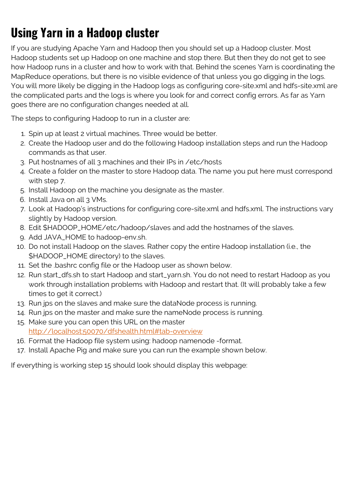## **Using Yarn in a Hadoop cluster**

If you are studying Apache Yarn and Hadoop then you should set up a Hadoop cluster. Most Hadoop students set up Hadoop on one machine and stop there. But then they do not get to see how Hadoop runs in a cluster and how to work with that. Behind the scenes Yarn is coordinating the MapReduce operations, but there is no visible evidence of that unless you go digging in the logs. You will more likely be digging in the Hadoop logs as configuring core-site.xml and hdfs-site.xml are the complicated parts and the logs is where you look for and correct config errors. As far as Yarn goes there are no configuration changes needed at all.

The steps to configuring Hadoop to run in a cluster are:

- 1. Spin up at least 2 virtual machines. Three would be better.
- 2. Create the Hadoop user and do the following Hadoop installation steps and run the Hadoop commands as that user.
- 3. Put hostnames of all 3 machines and their IPs in /etc/hosts
- 4. Create a folder on the master to store Hadoop data. The name you put here must correspond with step 7.
- 5. Install Hadoop on the machine you designate as the master.
- 6. Install Java on all 3 VMs.
- 7. Look at Hadoop's instructions for configuring core-site.xml and hdfs.xml. The instructions vary slightly by Hadoop version.
- 8. Edit \$HADOOP\_HOME/etc/hadoop/slaves and add the hostnames of the slaves.
- 9. Add JAVA\_HOME to hadoop-env.sh.
- 10. Do not install Hadoop on the slaves. Rather copy the entire Hadoop installation (i.e., the \$HADOOP\_HOME directory) to the slaves.
- 11. Set the .bashrc config file or the Hadoop user as shown below.
- 12. Run start\_dfs.sh to start Hadoop and start\_yarn.sh. You do not need to restart Hadoop as you work through installation problems with Hadoop and restart that. (It will probably take a few times to get it correct.)
- 13. Run jps on the slaves and make sure the dataNode process is running.
- 14. Run jps on the master and make sure the nameNode process is running.
- 15. Make sure you can open this URL on the master <http://localhost:50070/dfshealth.html#tab-overview>
- 16. Format the Hadoop file system using: hadoop namenode -format.
- 17. Install Apache Pig and make sure you can run the example shown below.

If everything is working step 15 should look should display this webpage: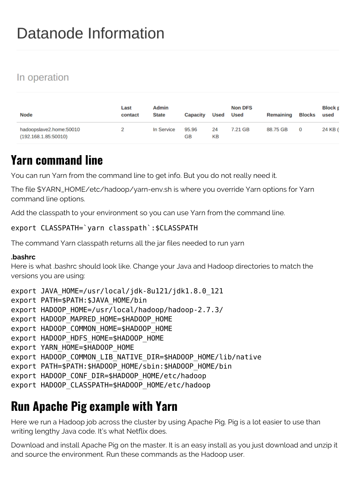## Datanode Information

#### In operation

| <b>Node</b>                                     | Last<br>contact | Admin<br><b>State</b> | <b>Capacity</b> | Used     | <b>Non DFS</b><br><b>Used</b> | Remaining | <b>Blocks</b> | <b>Block r</b><br>used |
|-------------------------------------------------|-----------------|-----------------------|-----------------|----------|-------------------------------|-----------|---------------|------------------------|
| hadoopslave2.home:50010<br>(192.168.1.85:50010) |                 | In Service            | 95.96<br>GB     | 24<br>KВ | 7.21 GB                       | 88.75 GB  | $\mathbf{O}$  | 24 KB (                |

### **Yarn command line**

You can run Yarn from the command line to get info. But you do not really need it.

The file \$YARN\_HOME/etc/hadoop/yarn-env.sh is where you override Yarn options for Yarn command line options.

Add the classpath to your environment so you can use Yarn from the command line.

#### export CLASSPATH=`yarn classpath`:\$CLASSPATH

The command Yarn classpath returns all the jar files needed to run yarn

#### **.bashrc**

Here is what .bashrc should look like. Change your Java and Hadoop directories to match the versions you are using:

```
export JAVA HOME=/usr/local/jdk-8u121/jdk1.8.0 121
```

```
export PATH=$PATH:$JAVA_HOME/bin
```

```
export HADOOP_HOME=/usr/local/hadoop/hadoop-2.7.3/
```

```
export HADOOP MAPRED HOME=$HADOOP HOME
```

```
export HADOOP COMMON HOME=$HADOOP HOME
```

```
export HADOOP HDFS HOME=$HADOOP HOME
```

```
export YARN HOME=$HADOOP HOME
```

```
export HADOOP COMMON LIB NATIVE DIR=$HADOOP HOME/lib/native
```

```
export PATH=$PATH: $HADOOP HOME/sbin: $HADOOP HOME/bin
```

```
export HADOOP CONF DIR=$HADOOP HOME/etc/hadoop
```

```
export HADOOP CLASSPATH=$HADOOP HOME/etc/hadoop
```
#### **Run Apache Pig example with Yarn**

Here we run a Hadoop job across the cluster by using Apache Pig. Pig is a lot easier to use than writing lengthy Java code. It's what Netflix does.

Download and install Apache Pig on the master. It is an easy install as you just download and unzip it and source the environment. Run these commands as the Hadoop user.